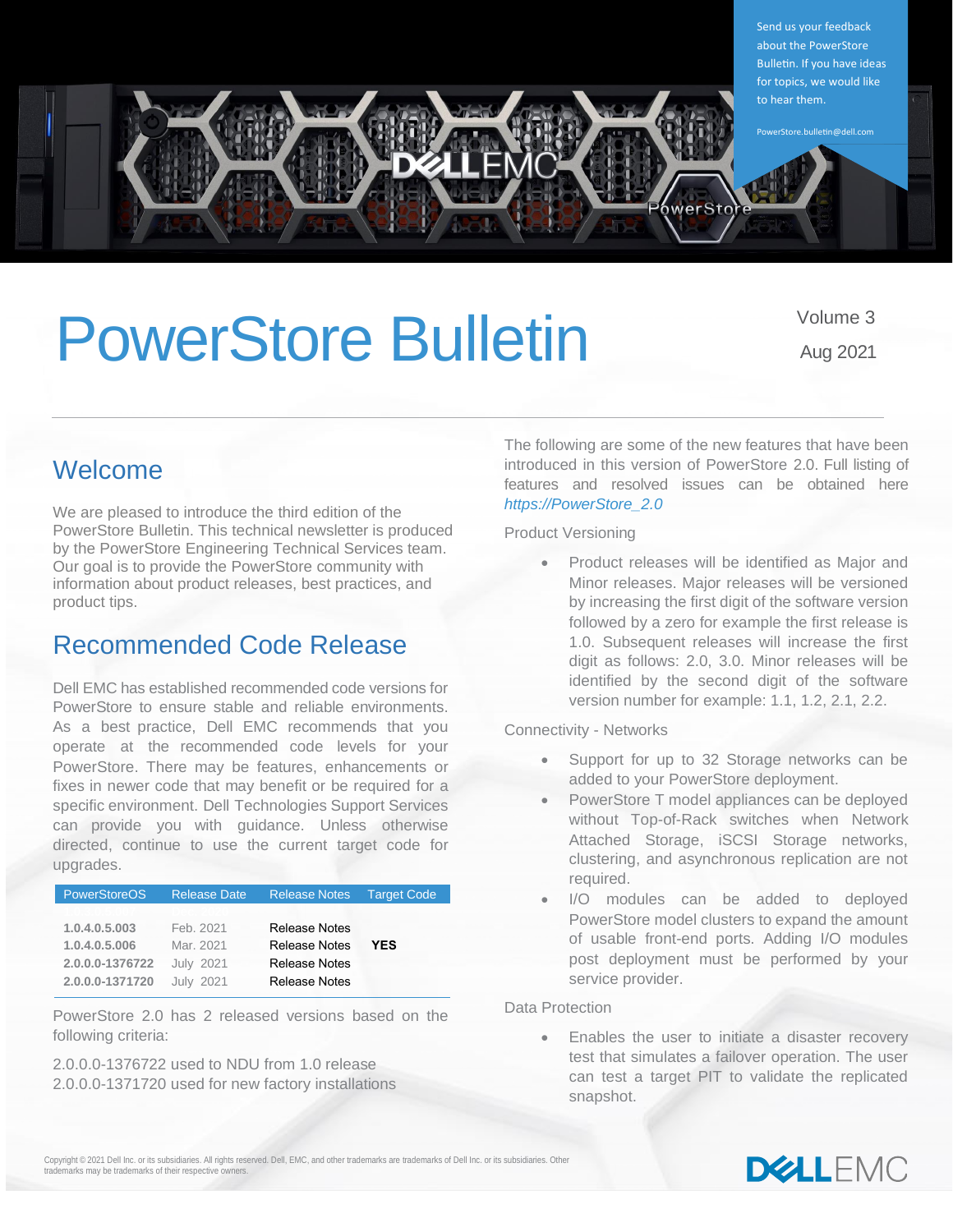

# PowerStore Bulletin Volume 3

Aug 2021

# Welcome

We are pleased to introduce the third edition of the PowerStore Bulletin. This technical newsletter is produced by the PowerStore Engineering Technical Services team. Our goal is to provide the PowerStore community with information about product releases, best practices, and product tips.

### Recommended Code Release

Dell EMC has established recommended code versions for PowerStore to ensure stable and reliable environments. As a best practice, Dell EMC recommends that you operate at the recommended code levels for your PowerStore. There may be features, enhancements or fixes in newer code that may benefit or be required for a specific environment. Dell Technologies Support Services can provide you with guidance. Unless otherwise directed, continue to use the current target code for upgrades.

| <b>PowerStoreOS</b> | <b>Release Date</b> | <b>Release Notes</b> | <b>Target Code</b> |  |
|---------------------|---------------------|----------------------|--------------------|--|
|                     |                     |                      |                    |  |
| 1.0.4.0.5.003       | Feb. 2021           | <b>Release Notes</b> |                    |  |
| 1.0.4.0.5.006       | Mar. 2021           | <b>Release Notes</b> | <b>YES</b>         |  |
| 2.0.0.0-1376722     | <b>July 2021</b>    | <b>Release Notes</b> |                    |  |
| 2.0.0.0-1371720     | <b>July 2021</b>    | <b>Release Notes</b> |                    |  |
|                     |                     |                      |                    |  |

PowerStore 2.0 has 2 released versions based on the following criteria:

2.0.0.0-1376722 used to NDU from 1.0 release 2.0.0.0-1371720 used for new factory installations The following are some of the new features that have been introduced in this version of PowerStore 2.0. Full listing of features and resolved issues can be obtained here *[https://PowerStore\\_2.0](https://downloads.dell.com/manuals/common/pwrstr-2-0_rn_en-us.pdf)*

Product Versioning

• Product releases will be identified as Major and Minor releases. Major releases will be versioned by increasing the first digit of the software version followed by a zero for example the first release is 1.0. Subsequent releases will increase the first digit as follows: 2.0, 3.0. Minor releases will be identified by the second digit of the software version number for example: 1.1, 1.2, 2.1, 2.2.

Connectivity - Networks

- Support for up to 32 Storage networks can be added to your PowerStore deployment.
- PowerStore T model appliances can be deployed without Top-of-Rack switches when Network Attached Storage, iSCSI Storage networks, clustering, and asynchronous replication are not required.
- I/O modules can be added to deployed PowerStore model clusters to expand the amount of usable front-end ports. Adding I/O modules post deployment must be performed by your service provider.

Data Protection

Enables the user to initiate a disaster recovery test that simulates a failover operation. The user can test a target PIT to validate the replicated snapshot.

Copyright © 2021 Dell Inc. or its subsidiaries. All rights reserved. Dell, EMC, and other trademarks are trademarks of Dell Inc. or its subsidiaries. Other trademarks may be trademarks of their respective owners.

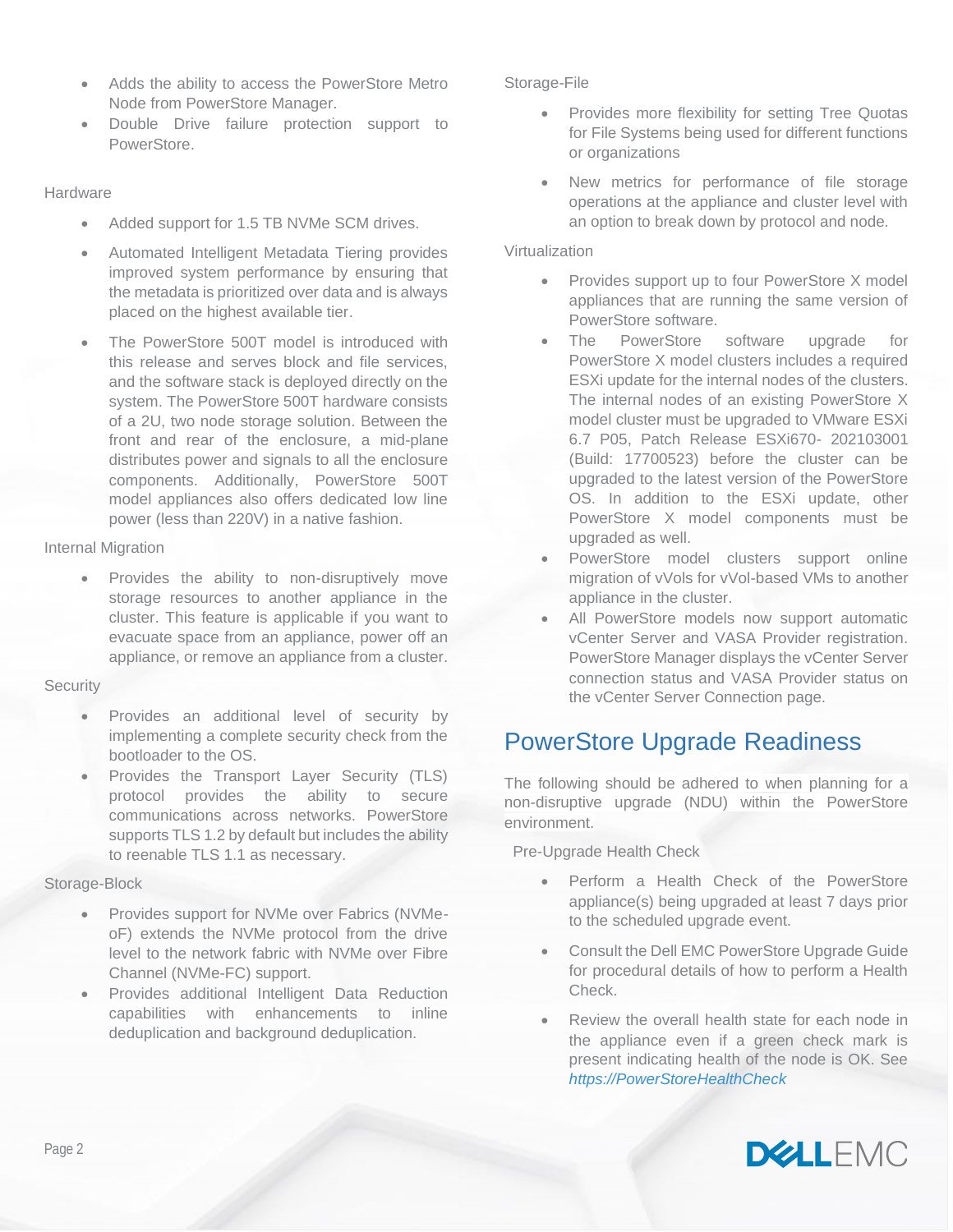- Adds the ability to access the PowerStore Metro Node from PowerStore Manager.
- Double Drive failure protection support to PowerStore.

### **Hardware**

- Added support for 1.5 TB NVMe SCM drives.
- Automated Intelligent Metadata Tiering provides improved system performance by ensuring that the metadata is prioritized over data and is always placed on the highest available tier.
- The PowerStore 500T model is introduced with this release and serves block and file services, and the software stack is deployed directly on the system. The PowerStore 500T hardware consists of a 2U, two node storage solution. Between the front and rear of the enclosure, a mid-plane distributes power and signals to all the enclosure components. Additionally, PowerStore 500T model appliances also offers dedicated low line power (less than 220V) in a native fashion.

### Internal Migration

Provides the ability to non-disruptively move storage resources to another appliance in the cluster. This feature is applicable if you want to evacuate space from an appliance, power off an appliance, or remove an appliance from a cluster.

### **Security**

- Provides an additional level of security by implementing a complete security check from the bootloader to the OS.
- Provides the Transport Layer Security (TLS) protocol provides the ability to secure communications across networks. PowerStore supports TLS 1.2 by default but includes the ability to reenable TLS 1.1 as necessary.

### Storage-Block

- Provides support for NVMe over Fabrics (NVMeoF) extends the NVMe protocol from the drive level to the network fabric with NVMe over Fibre Channel (NVMe-FC) support.
- Provides additional Intelligent Data Reduction capabilities with enhancements to inline deduplication and background deduplication.

### Storage-File

- Provides more flexibility for setting Tree Quotas for File Systems being used for different functions or organizations
- New metrics for performance of file storage operations at the appliance and cluster level with an option to break down by protocol and node.

### Virtualization

- Provides support up to four PowerStore X model appliances that are running the same version of PowerStore software.
- The PowerStore software upgrade for PowerStore X model clusters includes a required ESXi update for the internal nodes of the clusters. The internal nodes of an existing PowerStore X model cluster must be upgraded to VMware ESXi 6.7 P05, Patch Release ESXi670- 202103001 (Build: 17700523) before the cluster can be upgraded to the latest version of the PowerStore OS. In addition to the ESXi update, other PowerStore X model components must be upgraded as well.
- PowerStore model clusters support online migration of vVols for vVol-based VMs to another appliance in the cluster.
- All PowerStore models now support automatic vCenter Server and VASA Provider registration. PowerStore Manager displays the vCenter Server connection status and VASA Provider status on the vCenter Server Connection page.

### PowerStore Upgrade Readiness

The following should be adhered to when planning for a non-disruptive upgrade (NDU) within the PowerStore environment.

### Pre-Upgrade Health Check

- Perform a Health Check of the PowerStore appliance(s) being upgraded at least 7 days prior to the scheduled upgrade event.
- Consult the Dell EMC PowerStore Upgrade Guide for procedural details of how to perform a Health Check.
- Review the overall health state for each node in the appliance even if a green check mark is present indicating health of the node is OK. See *[https://PowerStoreHealthCheck](https://www.dell.com/support/kbdoc/en-us/000130130/powerstore-warning-state-for-pre-upgrade-health-check-and-upgrades-is-not-intuitively-available-for-users)*

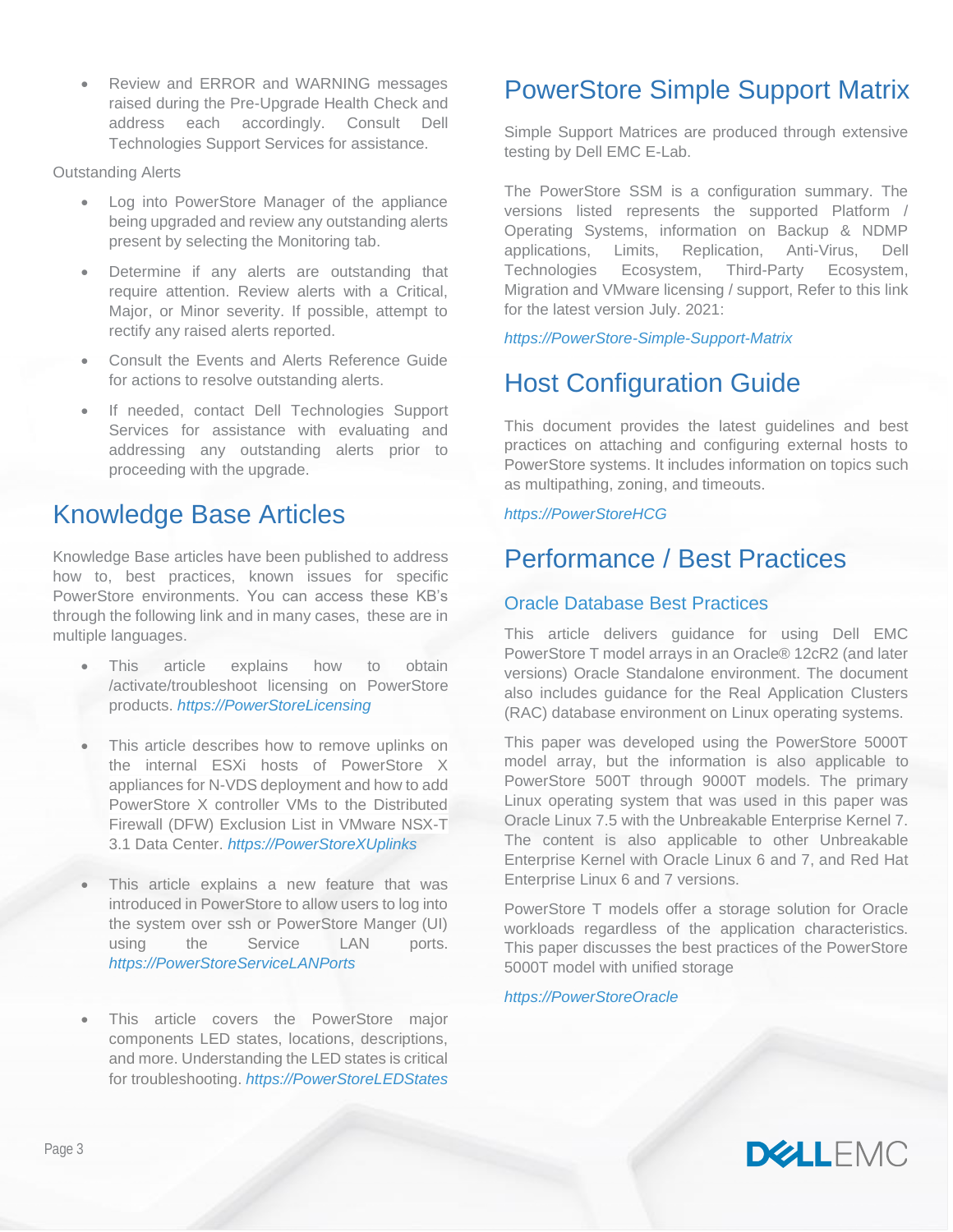• Review and ERROR and WARNING messages raised during the Pre-Upgrade Health Check and address each accordingly. Consult Dell Technologies Support Services for assistance.

Outstanding Alerts

- Log into PowerStore Manager of the appliance being upgraded and review any outstanding alerts present by selecting the Monitoring tab.
- Determine if any alerts are outstanding that require attention. Review alerts with a Critical, Major, or Minor severity. If possible, attempt to rectify any raised alerts reported.
- Consult the Events and Alerts Reference Guide for actions to resolve outstanding alerts.
- If needed, contact Dell Technologies Support Services for assistance with evaluating and addressing any outstanding alerts prior to proceeding with the upgrade.

# Knowledge Base Articles

Knowledge Base articles have been published to address how to, best practices, known issues for specific PowerStore environments. You can access these KB's through the following link and in many cases, these are in multiple languages.

- This article explains how to obtain /activate/troubleshoot licensing on PowerStore products. *[https://PowerStoreLicensing](https://dellservices.lightning.force.com/lightning/r/Lightning_Knowledge__kav/ka02R00000011nzQAA/view)*
- This article describes how to remove uplinks on the internal ESXi hosts of PowerStore X appliances for N-VDS deployment and how to add PowerStore X controller VMs to the Distributed Firewall (DFW) Exclusion List in VMware NSX-T 3.1 Data Center. *[https://PowerStoreXUplinks](https://dellservices.lightning.force.com/lightning/r/Lightning_Knowledge__kav/ka02R00000015DpQAI/view)*
- This article explains a new feature that was introduced in PowerStore to allow users to log into the system over ssh or PowerStore Manger (UI) using the Service LAN ports. *[https://PowerStoreServiceLANPorts](https://dellservices.lightning.force.com/lightning/r/Lightning_Knowledge__kav/ka02R00000017kkQAA/view)*
- This article covers the PowerStore major components LED states, locations, descriptions, and more. Understanding the LED states is critical for troubleshooting. *[https://PowerStoreLEDStates](https://dellservices.lightning.force.com/lightning/r/Lightning_Knowledge__kav/ka02R00000087fNQAQ/view)*

# PowerStore Simple Support Matrix

Simple Support Matrices are produced through extensive testing by Dell EMC E-Lab.

The PowerStore SSM is a configuration summary. The versions listed represents the supported Platform / Operating Systems, information on Backup & NDMP applications, Limits, Replication, Anti-Virus, Dell Technologies Ecosystem, Third-Party Ecosystem, Migration and VMware licensing / support, Refer to this link for the latest version July. 2021:

### *[https://PowerStore-Simple-Support-Matrix](https://elabnavigator.emc.com/vault/pdf/PowerStore_ESSM.pdf?key=1624861494541)*

# Host Configuration Guide

This document provides the latest guidelines and best practices on attaching and configuring external hosts to PowerStore systems. It includes information on topics such as multipathing, zoning, and timeouts.

### *[https://PowerStoreHCG](https://dl.dell.com/topicspdf/pwrstr-hcg_en-us.pdf)*

# Performance / Best Practices

### Oracle Database Best Practices

This article delivers guidance for using Dell EMC PowerStore T model arrays in an Oracle® 12cR2 (and later versions) Oracle Standalone environment. The document also includes guidance for the Real Application Clusters (RAC) database environment on Linux operating systems.

This paper was developed using the PowerStore 5000T model array, but the information is also applicable to PowerStore 500T through 9000T models. The primary Linux operating system that was used in this paper was Oracle Linux 7.5 with the Unbreakable Enterprise Kernel 7. The content is also applicable to other Unbreakable Enterprise Kernel with Oracle Linux 6 and 7, and Red Hat Enterprise Linux 6 and 7 versions.

PowerStore T models offer a storage solution for Oracle workloads regardless of the application characteristics. This paper discusses the best practices of the PowerStore 5000T model with unified storage

*[https://PowerStoreOracle](https://www.delltechnologies.com/asset/en-us/products/storage/industry-market/h18200-dell-emc-powerstore-oracle-best-practices.pdf)*

**DELLEMO**